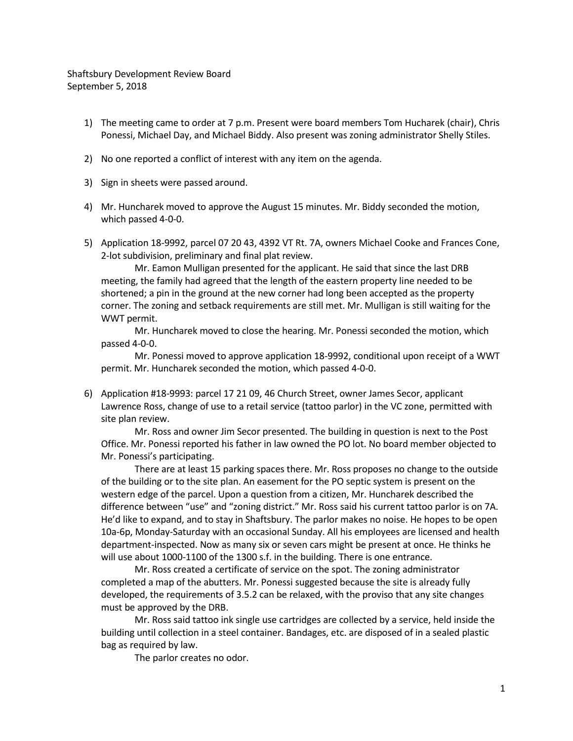Shaftsbury Development Review Board September 5, 2018

- 1) The meeting came to order at 7 p.m. Present were board members Tom Hucharek (chair), Chris Ponessi, Michael Day, and Michael Biddy. Also present was zoning administrator Shelly Stiles.
- 2) No one reported a conflict of interest with any item on the agenda.
- 3) Sign in sheets were passed around.
- 4) Mr. Huncharek moved to approve the August 15 minutes. Mr. Biddy seconded the motion, which passed 4-0-0.
- 5) Application 18-9992, parcel 07 20 43, 4392 VT Rt. 7A, owners Michael Cooke and Frances Cone, 2-lot subdivision, preliminary and final plat review.

Mr. Eamon Mulligan presented for the applicant. He said that since the last DRB meeting, the family had agreed that the length of the eastern property line needed to be shortened; a pin in the ground at the new corner had long been accepted as the property corner. The zoning and setback requirements are still met. Mr. Mulligan is still waiting for the WWT permit.

Mr. Huncharek moved to close the hearing. Mr. Ponessi seconded the motion, which passed 4-0-0.

Mr. Ponessi moved to approve application 18-9992, conditional upon receipt of a WWT permit. Mr. Huncharek seconded the motion, which passed 4-0-0.

6) Application #18-9993: parcel 17 21 09, 46 Church Street, owner James Secor, applicant Lawrence Ross, change of use to a retail service (tattoo parlor) in the VC zone, permitted with site plan review.

Mr. Ross and owner Jim Secor presented. The building in question is next to the Post Office. Mr. Ponessi reported his father in law owned the PO lot. No board member objected to Mr. Ponessi's participating.

There are at least 15 parking spaces there. Mr. Ross proposes no change to the outside of the building or to the site plan. An easement for the PO septic system is present on the western edge of the parcel. Upon a question from a citizen, Mr. Huncharek described the difference between "use" and "zoning district." Mr. Ross said his current tattoo parlor is on 7A. He'd like to expand, and to stay in Shaftsbury. The parlor makes no noise. He hopes to be open 10a-6p, Monday-Saturday with an occasional Sunday. All his employees are licensed and health department-inspected. Now as many six or seven cars might be present at once. He thinks he will use about 1000-1100 of the 1300 s.f. in the building. There is one entrance.

Mr. Ross created a certificate of service on the spot. The zoning administrator completed a map of the abutters. Mr. Ponessi suggested because the site is already fully developed, the requirements of 3.5.2 can be relaxed, with the proviso that any site changes must be approved by the DRB.

Mr. Ross said tattoo ink single use cartridges are collected by a service, held inside the building until collection in a steel container. Bandages, etc. are disposed of in a sealed plastic bag as required by law.

The parlor creates no odor.